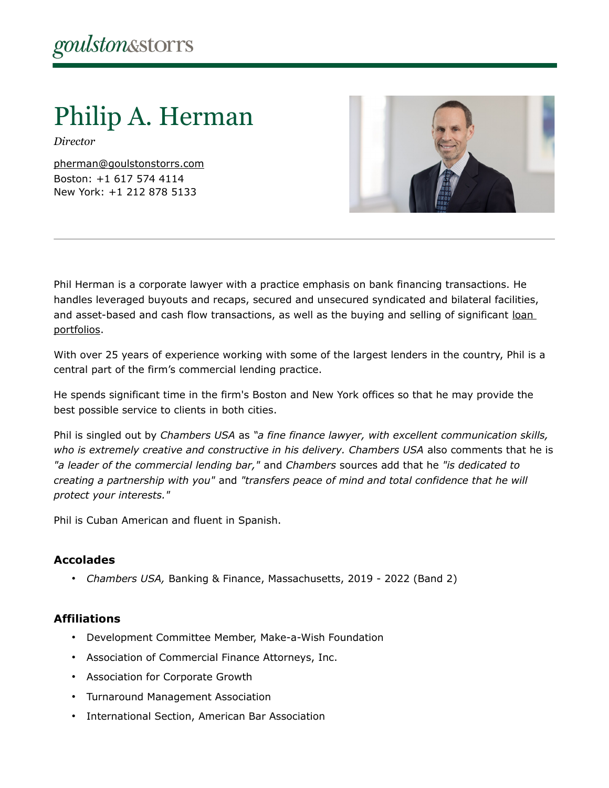# Philip A. Herman

*Director*

[pherman@goulstonstorrs.com](mailto:pherman@goulstonstorrs.com) Boston: +1 617 574 4114 New York: +1 212 878 5133



Phil Herman is a corporate lawyer with a practice emphasis on bank financing transactions. He handles leveraged buyouts and recaps, secured and unsecured syndicated and bilateral facilities, and asset-based and cash flow transactions, as well as the buying and selling of significant loan [portfolios.](https://www.goulstonstorrs.com/loan-portfolio-services/)

With over 25 years of experience working with some of the largest lenders in the country, Phil is a central part of the firm's commercial lending practice.

He spends significant time in the firm's Boston and New York offices so that he may provide the best possible service to clients in both cities.

Phil is singled out by *Chambers USA* as *"a fine finance lawyer, with excellent communication skills, who is extremely creative and constructive in his delivery. Chambers USA* also comments that he is *"a leader of the commercial lending bar,"* and *Chambers* sources add that he *"is dedicated to creating a partnership with you"* and *"transfers peace of mind and total confidence that he will protect your interests."*

Phil is Cuban American and fluent in Spanish.

# **Accolades**

• *Chambers USA,* Banking & Finance, Massachusetts, 2019 - 2022 (Band 2)

# **Affiliations**

- Development Committee Member, Make-a-Wish Foundation
- Association of Commercial Finance Attorneys, Inc.
- Association for Corporate Growth
- Turnaround Management Association
- International Section, American Bar Association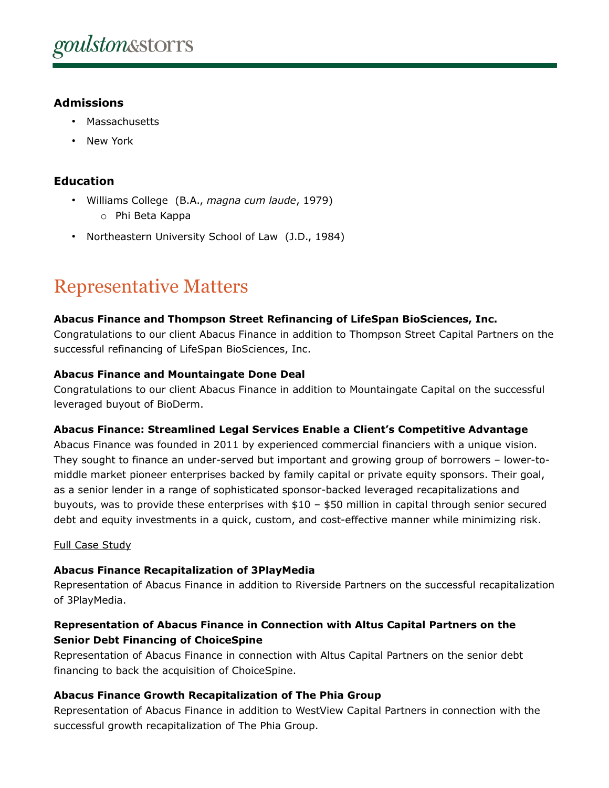# **Admissions**

- Massachusetts
- New York

# **Education**

- Williams College (B.A., *magna cum laude*, 1979) o Phi Beta Kappa
- Northeastern University School of Law (J.D., 1984)

# Representative Matters

#### **Abacus Finance and Thompson Street Refinancing of LifeSpan BioSciences, Inc.**

Congratulations to our client Abacus Finance in addition to Thompson Street Capital Partners on the successful refinancing of LifeSpan BioSciences, Inc.

#### **Abacus Finance and Mountaingate Done Deal**

Congratulations to our client Abacus Finance in addition to Mountaingate Capital on the successful leveraged buyout of BioDerm.

#### **Abacus Finance: Streamlined Legal Services Enable a Client's Competitive Advantage**

Abacus Finance was founded in 2011 by experienced commercial financiers with a unique vision. They sought to finance an under-served but important and growing group of borrowers – lower-tomiddle market pioneer enterprises backed by family capital or private equity sponsors. Their goal, as a senior lender in a range of sophisticated sponsor-backed leveraged recapitalizations and buyouts, was to provide these enterprises with \$10 – \$50 million in capital through senior secured debt and equity investments in a quick, custom, and cost-effective manner while minimizing risk.

#### [Full Case Study](https://www.goulstonstorrs.com/content/uploads/2020/10/Abacus-Case-Study-2.pdf)

# **Abacus Finance Recapitalization of 3PlayMedia**

Representation of Abacus Finance in addition to Riverside Partners on the successful recapitalization of 3PlayMedia.

# **Representation of Abacus Finance in Connection with Altus Capital Partners on the Senior Debt Financing of ChoiceSpine**

Representation of Abacus Finance in connection with Altus Capital Partners on the senior debt financing to back the acquisition of ChoiceSpine.

# **Abacus Finance Growth Recapitalization of The Phia Group**

Representation of Abacus Finance in addition to WestView Capital Partners in connection with the successful growth recapitalization of The Phia Group.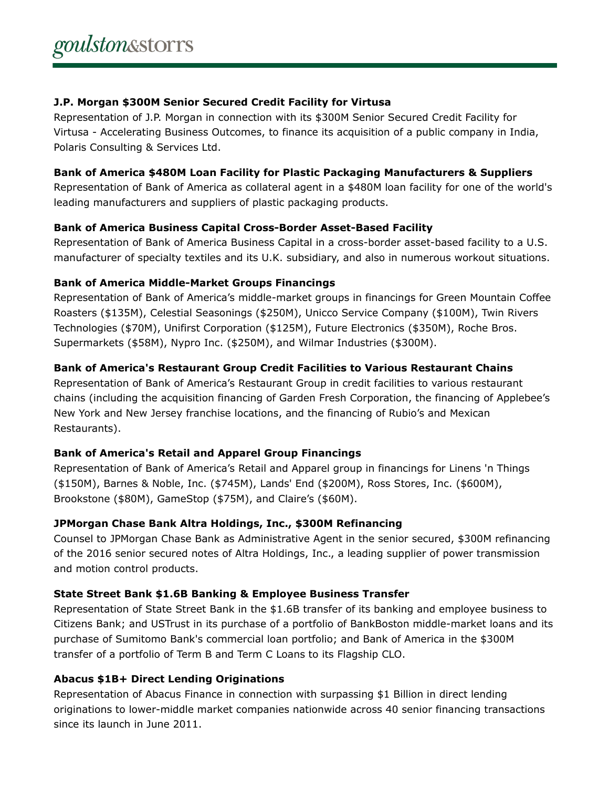#### **J.P. Morgan \$300M Senior Secured Credit Facility for Virtusa**

Representation of J.P. Morgan in connection with its \$300M Senior Secured Credit Facility for Virtusa - Accelerating Business Outcomes, to finance its acquisition of a public company in India, Polaris Consulting & Services Ltd.

# **Bank of America \$480M Loan Facility for Plastic Packaging Manufacturers & Suppliers**

Representation of Bank of America as collateral agent in a \$480M loan facility for one of the world's leading manufacturers and suppliers of plastic packaging products.

# **Bank of America Business Capital Cross-Border Asset-Based Facility**

Representation of Bank of America Business Capital in a cross-border asset-based facility to a U.S. manufacturer of specialty textiles and its U.K. subsidiary, and also in numerous workout situations.

# **Bank of America Middle-Market Groups Financings**

Representation of Bank of America's middle-market groups in financings for Green Mountain Coffee Roasters (\$135M), Celestial Seasonings (\$250M), Unicco Service Company (\$100M), Twin Rivers Technologies (\$70M), Unifirst Corporation (\$125M), Future Electronics (\$350M), Roche Bros. Supermarkets (\$58M), Nypro Inc. (\$250M), and Wilmar Industries (\$300M).

# **Bank of America's Restaurant Group Credit Facilities to Various Restaurant Chains**

Representation of Bank of America's Restaurant Group in credit facilities to various restaurant chains (including the acquisition financing of Garden Fresh Corporation, the financing of Applebee's New York and New Jersey franchise locations, and the financing of Rubio's and Mexican Restaurants).

# **Bank of America's Retail and Apparel Group Financings**

Representation of Bank of America's Retail and Apparel group in financings for Linens 'n Things (\$150M), Barnes & Noble, Inc. (\$745M), Lands' End (\$200M), Ross Stores, Inc. (\$600M), Brookstone (\$80M), GameStop (\$75M), and Claire's (\$60M).

# **JPMorgan Chase Bank Altra Holdings, Inc., \$300M Refinancing**

Counsel to JPMorgan Chase Bank as Administrative Agent in the senior secured, \$300M refinancing of the 2016 senior secured notes of Altra Holdings, Inc., a leading supplier of power transmission and motion control products.

# **State Street Bank \$1.6B Banking & Employee Business Transfer**

Representation of State Street Bank in the \$1.6B transfer of its banking and employee business to Citizens Bank; and USTrust in its purchase of a portfolio of BankBoston middle-market loans and its purchase of Sumitomo Bank's commercial loan portfolio; and Bank of America in the \$300M transfer of a portfolio of Term B and Term C Loans to its Flagship CLO.

# **Abacus \$1B+ Direct Lending Originations**

Representation of Abacus Finance in connection with surpassing \$1 Billion in direct lending originations to lower-middle market companies nationwide across 40 senior financing transactions since its launch in June 2011.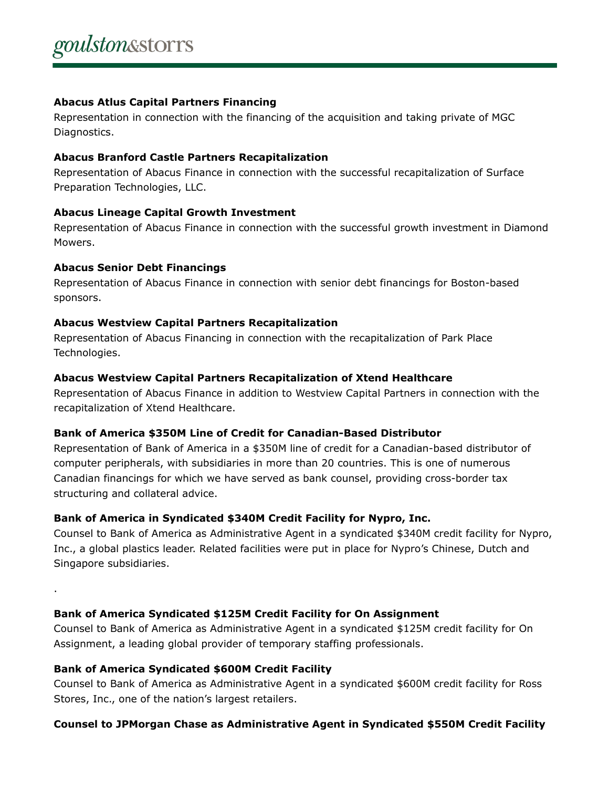#### **Abacus Atlus Capital Partners Financing**

Representation in connection with the financing of the acquisition and taking private of MGC Diagnostics.

#### **Abacus Branford Castle Partners Recapitalization**

Representation of Abacus Finance in connection with the successful recapitalization of Surface Preparation Technologies, LLC.

# **Abacus Lineage Capital Growth Investment**

Representation of Abacus Finance in connection with the successful growth investment in Diamond Mowers.

#### **Abacus Senior Debt Financings**

.

Representation of Abacus Finance in connection with senior debt financings for Boston-based sponsors.

# **Abacus Westview Capital Partners Recapitalization**

Representation of Abacus Financing in connection with the recapitalization of Park Place Technologies.

#### **Abacus Westview Capital Partners Recapitalization of Xtend Healthcare**

Representation of Abacus Finance in addition to Westview Capital Partners in connection with the recapitalization of Xtend Healthcare.

# **Bank of America \$350M Line of Credit for Canadian-Based Distributor**

Representation of Bank of America in a \$350M line of credit for a Canadian-based distributor of computer peripherals, with subsidiaries in more than 20 countries. This is one of numerous Canadian financings for which we have served as bank counsel, providing cross-border tax structuring and collateral advice.

# **Bank of America in Syndicated \$340M Credit Facility for Nypro, Inc.**

Counsel to Bank of America as Administrative Agent in a syndicated \$340M credit facility for Nypro, Inc., a global plastics leader. Related facilities were put in place for Nypro's Chinese, Dutch and Singapore subsidiaries.

# **Bank of America Syndicated \$125M Credit Facility for On Assignment**

Counsel to Bank of America as Administrative Agent in a syndicated \$125M credit facility for On Assignment, a leading global provider of temporary staffing professionals.

# **Bank of America Syndicated \$600M Credit Facility**

Counsel to Bank of America as Administrative Agent in a syndicated \$600M credit facility for Ross Stores, Inc., one of the nation's largest retailers.

# **Counsel to JPMorgan Chase as Administrative Agent in Syndicated \$550M Credit Facility**